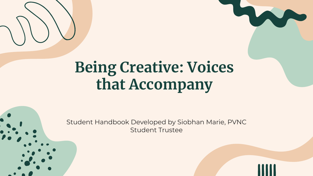

## **Being Creative: Voices that Accompany**

Student Handbook Developed by Siobhan Marie, PVNC Student Trustee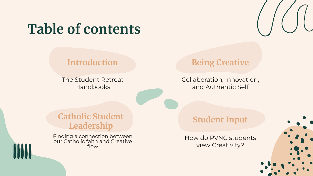## **Table of contents**

#### **Introduction**

The Student Retreat Handbooks

### **Being Creative**

Collaboration, Innovation, and Authentic Self

### **Catholic Student Leadership**

Finding a connection between our Catholic faith and Creative flow

#### **Student Input**

How do PVNC students view Creativity?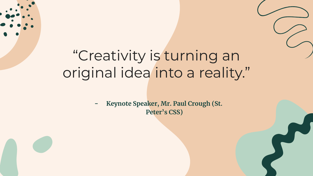## "Creativity is turning an original idea into a reality."

**- Keynote Speaker, Mr. Paul Crough (St. Peter's CSS)**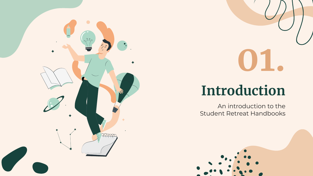

# **01.**

## **Introduction**

An introduction to the Student Retreat Handbooks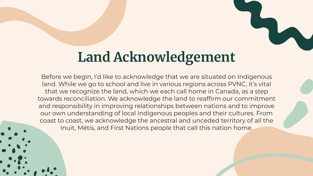## **Land Acknowledgement**

Before we begin, I'd like to acknowledge that we are situated on Indigenous land. While we go to school and live in various regions across PVNC, it's vital that we recognize the land, which we each call home in Canada, as a step towards reconciliation. We acknowledge the land to reaffirm our commitment and responsibility in improving relationships between nations and to improve our own understanding of local Indigenous peoples and their cultures. From coast to coast, we acknowledge the ancestral and unceded territory of all the Inuit, Métis, and First Nations people that call this nation home.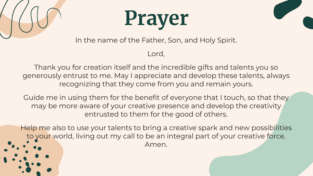





In the name of the Father, Son, and Holy Spirit.

Lord,

Thank you for creation itself and the incredible gifts and talents you so generously entrust to me. May I appreciate and develop these talents, always recognizing that they come from you and remain yours.

Guide me in using them for the benefit of everyone that I touch, so that they may be more aware of your creative presence and develop the creativity entrusted to them for the good of others.

Help me also to use your talents to bring a creative spark and new possibilities to your world, living out my call to be an integral part of your creative force. Amen.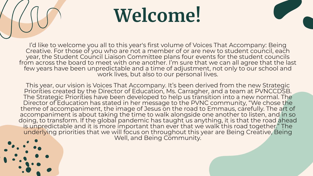## **Welcome!**

I'd like to welcome you all to this year's first volume of Voices That Accompany: Being Creative. For those of you who are not a member of or are new to student council, each year, the Student Council Liaison Committee plans four events for the student councils from across the board to meet with one another. I'm sure that we can all agree that the last few years have been unpredictable and a time of adjustment, not only to our school and work lives, but also to our personal lives.

This year, our vision is Voices That Accompany. It's been derived from the new Strategic Priorities created by the Director of Education, Ms. Carragher, and a team at PVNCCDSB. The Strategic Priorities have been developed to help us transition into a new normal. The Director of Education has stated in her message to the PVNC community, "We chose the theme of accompaniment, the image of Jesus on the road to Emmaus, carefully. The art of accompaniment is about taking the time to walk alongside one another to listen, and in so doing, to transform. If the global pandemic has taught us anything, it is that the road ahead is unpredictable and it is more important than ever that we walk this road together." The underlying priorities that we will focus on throughout this year are Being Creative, Being Well, and Being Community.

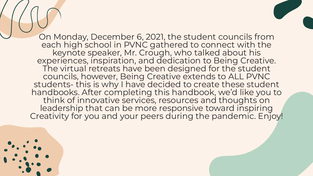On Monday, December 6, 2021, the student councils from each high school in PVNC gathered to connect with the keynote speaker, Mr. Crough, who talked about his experiences, inspiration, and dedication to Being Creative. The virtual retreats have been designed for the student councils, however, Being Creative extends to ALL PVNC students- this is why I have decided to create these student handbooks. After completing this handbook, we'd like you to think of innovative services, resources and thoughts on leadership that can be more responsive toward inspiring Creativity for you and your peers during the pandemic. Enjoy!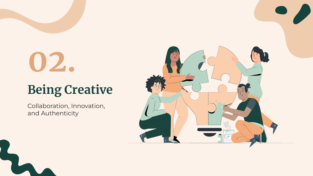## **02.**

## **Being Creative**

Collaboration, Innovation, and Authenticity

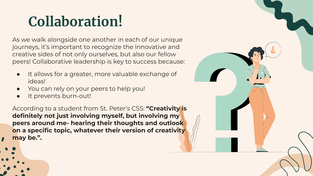## **Collaboration!**

As we walk alongside one another in each of our unique journeys, it's important to recognize the innovative and creative sides of not only ourselves, but also our fellow peers! Collaborative leadership is key to success because:

- It allows for a greater, more valuable exchange of ideas!
- You can rely on your peers to help you!
- It prevents burn-out!

According to a student from St. Peter's CSS: **"Creativity is definitely not just involving myself, but involving my peers around me- hearing their thoughts and outlook on a specific topic, whatever their version of creativity may be.".** 

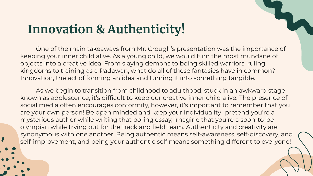### **Innovation & Authenticity!**

One of the main takeaways from Mr. Crough's presentation was the importance of keeping your inner child alive. As a young child, we would turn the most mundane of objects into a creative idea. From slaying demons to being skilled warriors, ruling kingdoms to training as a Padawan, what do all of these fantasies have in common? Innovation, the act of forming an idea and turning it into something tangible.

As we begin to transition from childhood to adulthood, stuck in an awkward stage known as adolescence, it's difficult to keep our creative inner child alive. The presence of social media often encourages conformity, however, it's important to remember that you are your own person! Be open minded and keep your individuality- pretend you're a mysterious author while writing that boring essay, imagine that you're a soon-to-be olympian while trying out for the track and field team. Authenticity and creativity are synonymous with one another. Being authentic means self-awareness, self-discovery, and self-improvement, and being your authentic self means something different to everyone!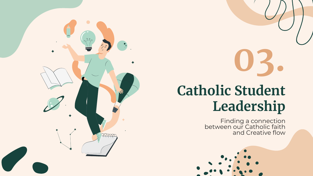## **03. Catholic Student Leadership**

Finding a connection between our Catholic faith and Creative flow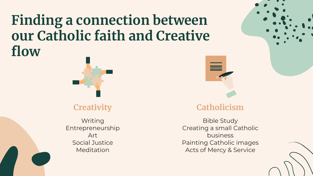## **Finding a connection between our Catholic faith and Creative flow**



### **Creativity**

Writing Entrepreneurship Art Social Justice Meditation



### **Catholicism**

Bible Study Creating a small Catholic business Painting Catholic images Acts of Mercy & Service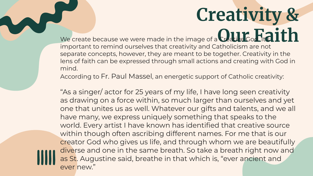## **Creativity &**  We create because we were made in the image of a **Catle God it a ith**

important to remind ourselves that creativity and Catholicism are not separate concepts, however, they are meant to be together. Creativity in the lens of faith can be expressed through small actions and creating with God in mind.

According to Fr. Paul Massel, an energetic support of Catholic creativity:

"As a singer/ actor for 25 years of my life, I have long seen creativity as drawing on a force within, so much larger than ourselves and yet one that unites us as well. Whatever our gifts and talents, and we all have many, we express uniquely something that speaks to the world. Every artist I have known has identified that creative source within though often ascribing different names. For me that is our creator God who gives us life, and through whom we are beautifully diverse and one in the same breath. So take a breath right now and as St. Augustine said, breathe in that which is, "ever ancient and ever new."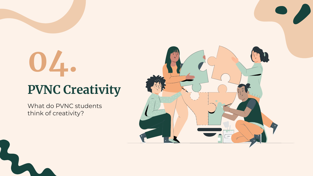## **04. PVNC Creativity**

What do PVNC students think of creativity?

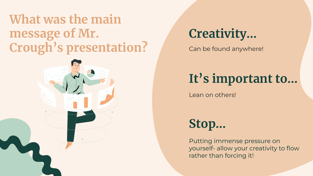### **What was the main message of Mr.**  Crough's presentation? Can be found anywhere!



**Creativity…**

### **It's important to…**

Lean on others!

**Stop…** 

Putting immense pressure on yourself- allow your creativity to flow rather than forcing it!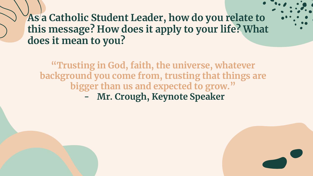### **As a Catholic Student Leader, how do you relate to this message? How does it apply to your life? What does it mean to you?**

**"Trusting in God, faith, the universe, whatever background you come from, trusting that things are bigger than us and expected to grow."**

**- Mr. Crough, Keynote Speaker**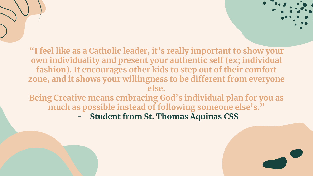**"I feel like as a Catholic leader, it's really important to show your own individuality and present your authentic self (ex; individual fashion). It encourages other kids to step out of their comfort zone, and it shows your willingness to be different from everyone else.** 

**Being Creative means embracing God's individual plan for you as much as possible instead of following someone else's."** 

**- Student from St. Thomas Aquinas CSS**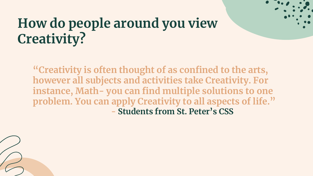## **How do people around you view Creativity?**

**"Creativity is often thought of as confined to the arts, however all subjects and activities take Creativity. For instance, Math- you can find multiple solutions to one problem. You can apply Creativity to all aspects of life." - Students from St. Peter's CSS**

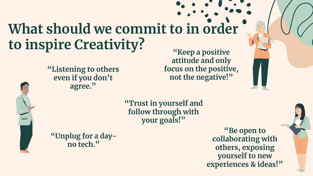## **What should we commit to in order to inspire Creativity?**



**"Listening to others even if you don't agree."**

**"Keep a positive attitude and only focus on the positive, not the negative!"**

**"Trust in yourself and follow through with your goals!"**

**"Unplug for a dayno tech."**

**"Be open to collaborating with others, exposing yourself to new experiences & ideas!"**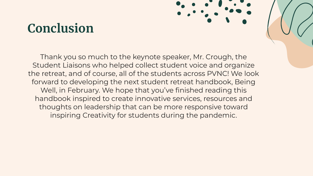### **Conclusion**

Thank you so much to the keynote speaker, Mr. Crough, the Student Liaisons who helped collect student voice and organize the retreat, and of course, all of the students across PVNC! We look forward to developing the next student retreat handbook, Being Well, in February. We hope that you've finished reading this handbook inspired to create innovative services, resources and thoughts on leadership that can be more responsive toward inspiring Creativity for students during the pandemic.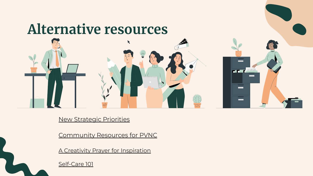## **Alternative resources**

[New Strategic Priorities](https://www.pvnccdsb.on.ca/our-board/vision-mission-and-strategic-priorities/)

[Community Resources for PVNC](https://www.pvnccdsb.on.ca/wp-content/uploads/2021/05/Community-Resources-for-All-Families-of-PVNC.pdf)

**Contract Service** 

▅

<u>—</u>

[A Creativity Prayer for Inspiration](https://brainzooming.com/a-creativity-prayer-for-creative-inspiration/6725/)

[Self-Care 101](https://smho-smso.ca/wp-content/uploads/2020/03/Self-Care-101.pdf)